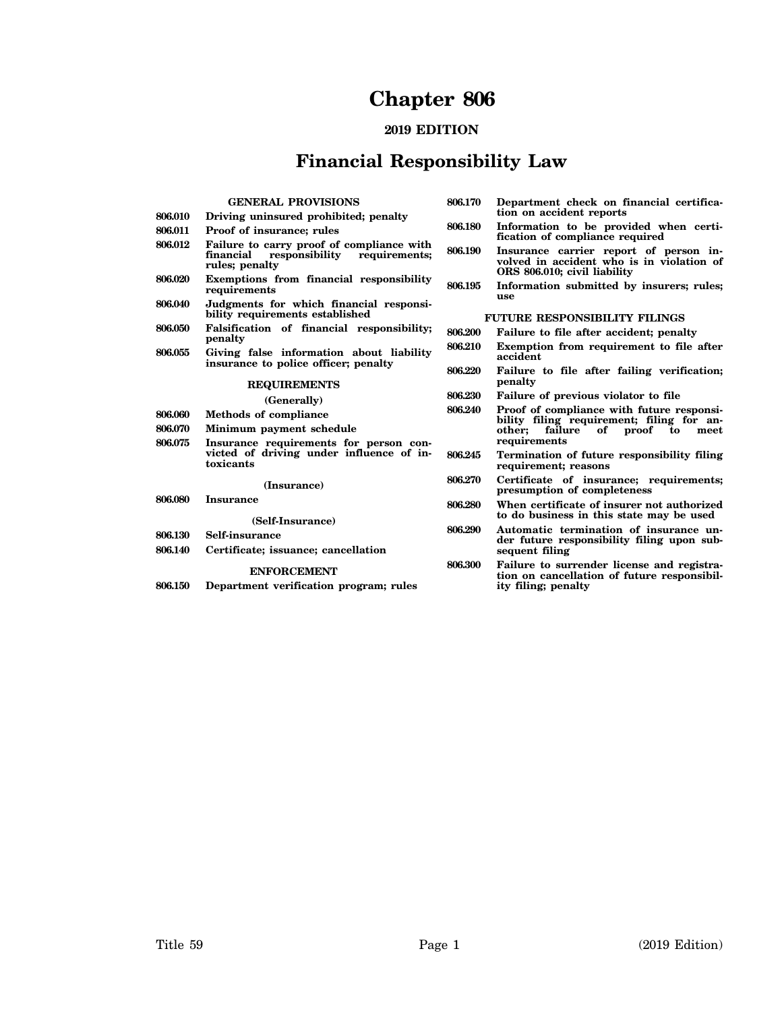# **Chapter 806**

### **2019 EDITION**

## **Financial Responsibility Law**

| 806.010<br>806.011<br>806.012<br>806.020<br>806.040<br>806.050 | <b>GENERAL PROVISIONS</b><br>Driving uninsured prohibited; penalty<br><b>Proof of insurance; rules</b><br>Failure to carry proof of compliance with<br>responsibility<br>financial<br>requirements;<br>rules; penalty<br>Exemptions from financial responsibility<br>requirements<br>Judgments for which financial responsi-<br>bility requirements established<br>Falsification of financial responsibility;<br>penalty | 806.170<br>806.180<br>806.190<br>806.195<br>806.200 | Department check on financial certifica-<br>tion on accident reports<br>Information to be provided when certi-<br>fication of compliance required<br>Insurance carrier report of person in-<br>volved in accident who is in violation of<br>ORS 806.010; civil liability<br>Information submitted by insurers; rules;<br>use<br><b>FUTURE RESPONSIBILITY FILINGS</b><br>Failure to file after accident; penalty |
|----------------------------------------------------------------|--------------------------------------------------------------------------------------------------------------------------------------------------------------------------------------------------------------------------------------------------------------------------------------------------------------------------------------------------------------------------------------------------------------------------|-----------------------------------------------------|-----------------------------------------------------------------------------------------------------------------------------------------------------------------------------------------------------------------------------------------------------------------------------------------------------------------------------------------------------------------------------------------------------------------|
| 806.055                                                        | Giving false information about liability<br>insurance to police officer; penalty<br><b>REQUIREMENTS</b>                                                                                                                                                                                                                                                                                                                  | 806.210<br>806.220<br>806.230                       | Exemption from requirement to file after<br>accident<br>Failure to file after failing verification;<br>penalty                                                                                                                                                                                                                                                                                                  |
| 806.060<br>806.070<br>806.075                                  | (Generally)<br><b>Methods of compliance</b><br>Minimum payment schedule<br>Insurance requirements for person con-<br>victed of driving under influence of in-<br>toxicants                                                                                                                                                                                                                                               | 806.240<br>806.245                                  | Failure of previous violator to file<br>Proof of compliance with future responsi-<br>bility filing requirement; filing for an-<br>other:<br>failure<br>of<br>proof<br>to<br>meet<br>requirements<br>Termination of future responsibility filing<br>requirement; reasons                                                                                                                                         |
| 806.080                                                        | (Insurance)<br>Insurance<br>(Self-Insurance)                                                                                                                                                                                                                                                                                                                                                                             | 806.270<br>806.280                                  | Certificate of insurance; requirements;<br>presumption of completeness<br>When certificate of insurer not authorized<br>to do business in this state may be used                                                                                                                                                                                                                                                |
| 806.130<br>806.140<br>806.150                                  | Self-insurance<br>Certificate; issuance; cancellation<br><b>ENFORCEMENT</b><br>Department verification program; rules                                                                                                                                                                                                                                                                                                    | 806.290<br>806.300                                  | Automatic termination of insurance un-<br>der future responsibility filing upon sub-<br>sequent filing<br>Failure to surrender license and registra-<br>tion on cancellation of future responsibil-<br>ity filing; penalty                                                                                                                                                                                      |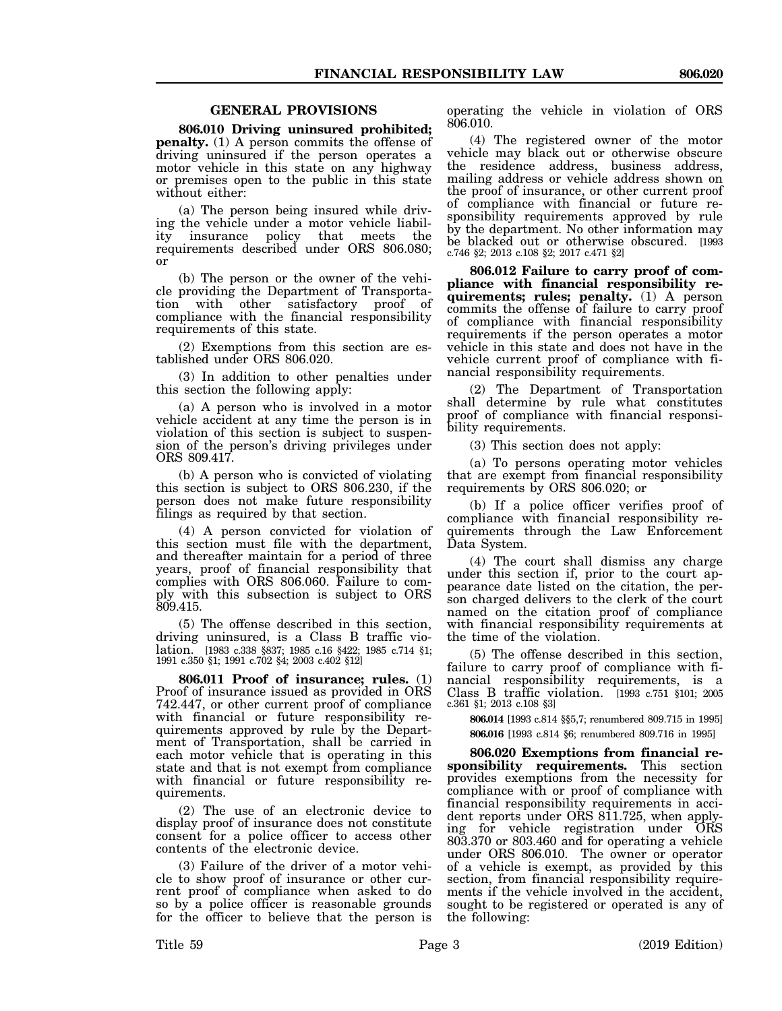#### **GENERAL PROVISIONS**

**806.010 Driving uninsured prohibited; penalty.** (1) A person commits the offense of driving uninsured if the person operates a motor vehicle in this state on any highway or premises open to the public in this state without either:

(a) The person being insured while driving the vehicle under a motor vehicle liability insurance policy that meets the requirements described under ORS 806.080; or

(b) The person or the owner of the vehicle providing the Department of Transportation with other satisfactory proof of compliance with the financial responsibility requirements of this state.

(2) Exemptions from this section are established under ORS 806.020.

(3) In addition to other penalties under this section the following apply:

(a) A person who is involved in a motor vehicle accident at any time the person is in violation of this section is subject to suspension of the person's driving privileges under ORS 809.417.

(b) A person who is convicted of violating this section is subject to ORS 806.230, if the person does not make future responsibility filings as required by that section.

(4) A person convicted for violation of this section must file with the department, and thereafter maintain for a period of three years, proof of financial responsibility that complies with ORS 806.060. Failure to comply with this subsection is subject to ORS 809.415.

(5) The offense described in this section, driving uninsured, is a Class B traffic violation. [1983 c.338 §837; 1985 c.16 §422; 1985 c.714 §1; 1991 c.350 §1; 1991 c.702 §4; 2003 c.402 §12]

**806.011 Proof of insurance; rules.** (1) Proof of insurance issued as provided in ORS 742.447, or other current proof of compliance with financial or future responsibility requirements approved by rule by the Department of Transportation, shall be carried in each motor vehicle that is operating in this state and that is not exempt from compliance with financial or future responsibility requirements.

(2) The use of an electronic device to display proof of insurance does not constitute consent for a police officer to access other contents of the electronic device.

(3) Failure of the driver of a motor vehicle to show proof of insurance or other current proof of compliance when asked to do so by a police officer is reasonable grounds for the officer to believe that the person is operating the vehicle in violation of ORS 806.010.

(4) The registered owner of the motor vehicle may black out or otherwise obscure the residence address, business address, mailing address or vehicle address shown on the proof of insurance, or other current proof of compliance with financial or future responsibility requirements approved by rule by the department. No other information may be blacked out or otherwise obscured. [1993 c.746 §2; 2013 c.108 §2; 2017 c.471 §2]

**806.012 Failure to carry proof of compliance with financial responsibility requirements; rules; penalty.** (1) A person commits the offense of failure to carry proof of compliance with financial responsibility requirements if the person operates a motor vehicle in this state and does not have in the vehicle current proof of compliance with financial responsibility requirements.

(2) The Department of Transportation shall determine by rule what constitutes proof of compliance with financial responsibility requirements.

(3) This section does not apply:

(a) To persons operating motor vehicles that are exempt from financial responsibility requirements by ORS 806.020; or

(b) If a police officer verifies proof of compliance with financial responsibility requirements through the Law Enforcement Data System.

(4) The court shall dismiss any charge under this section if, prior to the court appearance date listed on the citation, the person charged delivers to the clerk of the court named on the citation proof of compliance with financial responsibility requirements at the time of the violation.

(5) The offense described in this section, failure to carry proof of compliance with financial responsibility requirements, is a Class B traffic violation. [1993 c.751 §101; 2005 c.361 §1; 2013 c.108 §3]

**806.014** [1993 c.814 §§5,7; renumbered 809.715 in 1995] **806.016** [1993 c.814 §6; renumbered 809.716 in 1995]

**806.020 Exemptions from financial responsibility requirements.** This section provides exemptions from the necessity for compliance with or proof of compliance with financial responsibility requirements in accident reports under ORS 811.725, when applying for vehicle registration under ORS 803.370 or 803.460 and for operating a vehicle under ORS 806.010. The owner or operator of a vehicle is exempt, as provided by this section, from financial responsibility requirements if the vehicle involved in the accident, sought to be registered or operated is any of the following: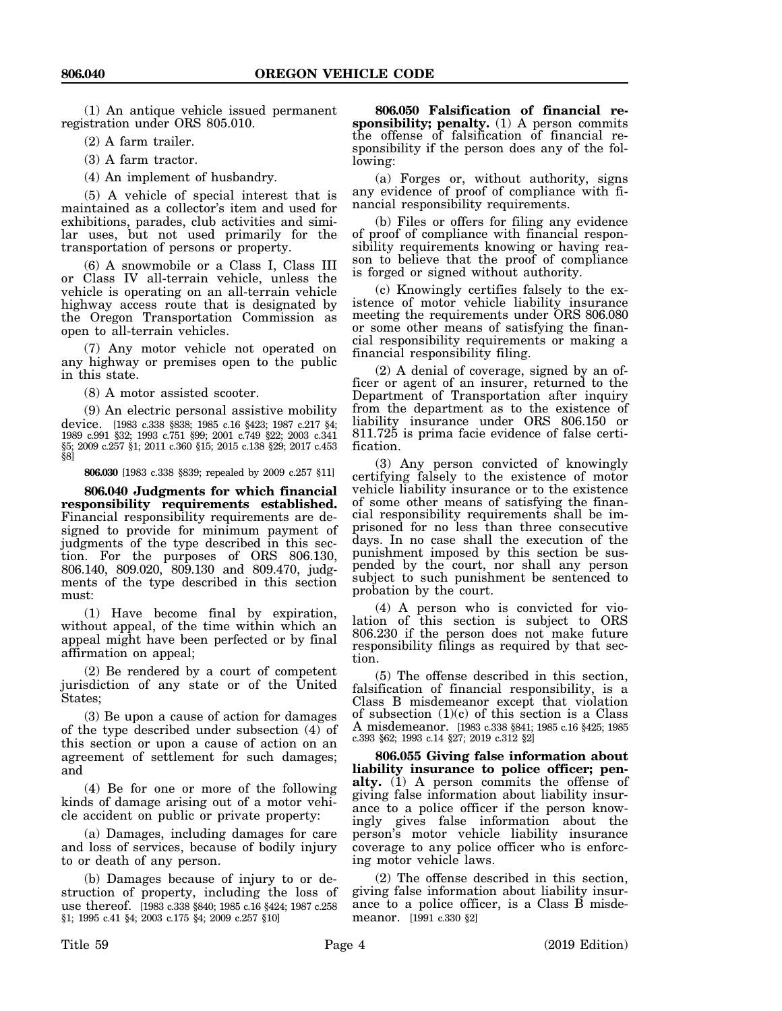(1) An antique vehicle issued permanent registration under ORS 805.010.

(2) A farm trailer.

(3) A farm tractor.

(4) An implement of husbandry.

(5) A vehicle of special interest that is maintained as a collector's item and used for exhibitions, parades, club activities and similar uses, but not used primarily for the transportation of persons or property.

(6) A snowmobile or a Class I, Class III or Class IV all-terrain vehicle, unless the vehicle is operating on an all-terrain vehicle highway access route that is designated by the Oregon Transportation Commission as open to all-terrain vehicles.

(7) Any motor vehicle not operated on any highway or premises open to the public in this state.

(8) A motor assisted scooter.

(9) An electric personal assistive mobility device. [1983 c.338 §838; 1985 c.16 §423; 1987 c.217 §4; 1989 c.991 §32; 1993 c.751 §99; 2001 c.749 §22; 2003 c.341 §5; 2009 c.257 §1; 2011 c.360 §15; 2015 c.138 §29; 2017 c.453 §8]

**806.030** [1983 c.338 §839; repealed by 2009 c.257 §11]

**806.040 Judgments for which financial responsibility requirements established.** Financial responsibility requirements are designed to provide for minimum payment of judgments of the type described in this section. For the purposes of ORS 806.130, 806.140, 809.020, 809.130 and 809.470, judgments of the type described in this section must:

(1) Have become final by expiration, without appeal, of the time within which an appeal might have been perfected or by final affirmation on appeal;

(2) Be rendered by a court of competent jurisdiction of any state or of the United States;

(3) Be upon a cause of action for damages of the type described under subsection (4) of this section or upon a cause of action on an agreement of settlement for such damages; and

(4) Be for one or more of the following kinds of damage arising out of a motor vehicle accident on public or private property:

(a) Damages, including damages for care and loss of services, because of bodily injury to or death of any person.

(b) Damages because of injury to or destruction of property, including the loss of use thereof. [1983 c.338 §840; 1985 c.16 §424; 1987 c.258 §1; 1995 c.41 §4; 2003 c.175 §4; 2009 c.257 §10]

**806.050 Falsification of financial responsibility; penalty.** (1) A person commits the offense of falsification of financial responsibility if the person does any of the following:

(a) Forges or, without authority, signs any evidence of proof of compliance with financial responsibility requirements.

(b) Files or offers for filing any evidence of proof of compliance with financial responsibility requirements knowing or having reason to believe that the proof of compliance is forged or signed without authority.

(c) Knowingly certifies falsely to the existence of motor vehicle liability insurance meeting the requirements under ORS 806.080 or some other means of satisfying the financial responsibility requirements or making a financial responsibility filing.

(2) A denial of coverage, signed by an officer or agent of an insurer, returned to the Department of Transportation after inquiry from the department as to the existence of liability insurance under ORS 806.150 or 811.725 is prima facie evidence of false certification.

(3) Any person convicted of knowingly certifying falsely to the existence of motor vehicle liability insurance or to the existence of some other means of satisfying the financial responsibility requirements shall be imprisoned for no less than three consecutive days. In no case shall the execution of the punishment imposed by this section be suspended by the court, nor shall any person subject to such punishment be sentenced to probation by the court.

(4) A person who is convicted for violation of this section is subject to ORS 806.230 if the person does not make future responsibility filings as required by that section.

(5) The offense described in this section, falsification of financial responsibility, is a Class B misdemeanor except that violation of subsection  $(1)(c)$  of this section is a Class A misdemeanor. [1983 c.338 §841; 1985 c.16 §425; 1985 c.393 §62; 1993 c.14 §27; 2019 c.312 §2]

**806.055 Giving false information about liability insurance to police officer; penalty.** (1) A person commits the offense of giving false information about liability insurance to a police officer if the person knowingly gives false information about the person's motor vehicle liability insurance coverage to any police officer who is enforcing motor vehicle laws.

(2) The offense described in this section, giving false information about liability insurance to a police officer, is a Class B misdemeanor. [1991 c.330 §2]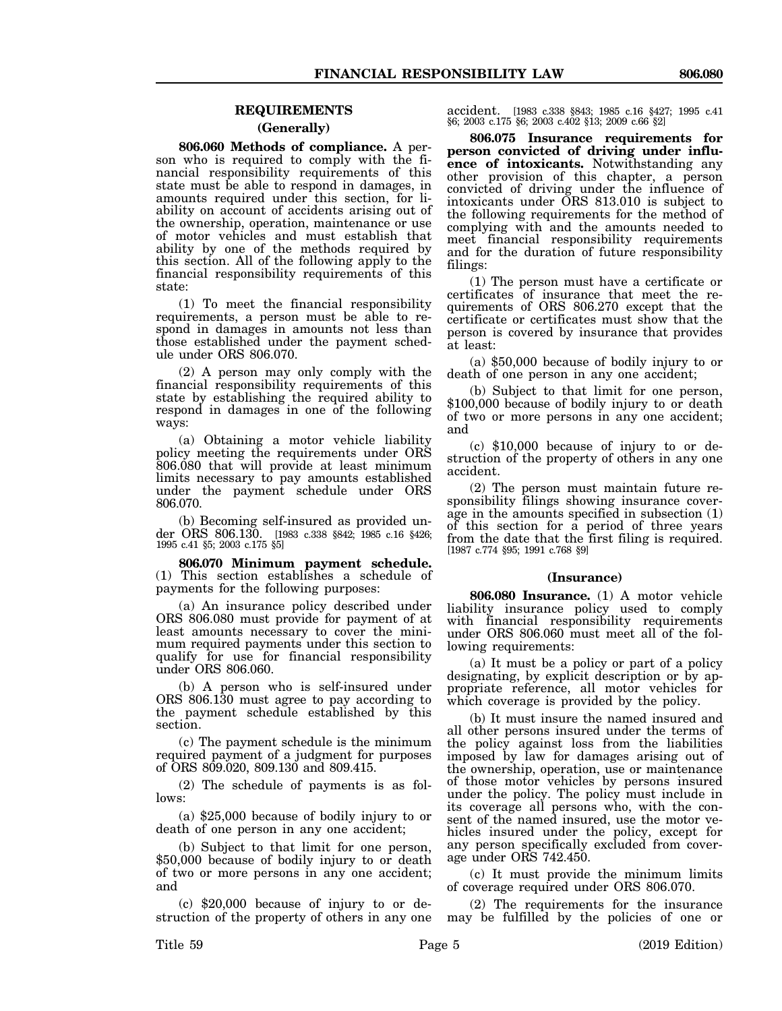#### **REQUIREMENTS**

#### **(Generally)**

**806.060 Methods of compliance.** A person who is required to comply with the financial responsibility requirements of this state must be able to respond in damages, in amounts required under this section, for liability on account of accidents arising out of the ownership, operation, maintenance or use of motor vehicles and must establish that ability by one of the methods required by this section. All of the following apply to the financial responsibility requirements of this state:

(1) To meet the financial responsibility requirements, a person must be able to respond in damages in amounts not less than those established under the payment schedule under ORS 806.070.

(2) A person may only comply with the financial responsibility requirements of this state by establishing the required ability to respond in damages in one of the following ways:

(a) Obtaining a motor vehicle liability policy meeting the requirements under ORS 806.080 that will provide at least minimum limits necessary to pay amounts established under the payment schedule under ORS 806.070.

(b) Becoming self-insured as provided under ORS 806.130. [1983 c.338 §842; 1985 c.16 §426; 1995 c.41 §5; 2003 c.175 §5]

**806.070 Minimum payment schedule.** (1) This section establishes a schedule of payments for the following purposes:

(a) An insurance policy described under ORS 806.080 must provide for payment of at least amounts necessary to cover the minimum required payments under this section to qualify for use for financial responsibility under ORS 806.060.

(b) A person who is self-insured under ORS 806.130 must agree to pay according to the payment schedule established by this section.

(c) The payment schedule is the minimum required payment of a judgment for purposes of ORS 809.020, 809.130 and 809.415.

(2) The schedule of payments is as follows:

(a) \$25,000 because of bodily injury to or death of one person in any one accident;

(b) Subject to that limit for one person, \$50,000 because of bodily injury to or death of two or more persons in any one accident; and

(c) \$20,000 because of injury to or destruction of the property of others in any one accident. [1983 c.338 §843; 1985 c.16 §427; 1995 c.41 §6; 2003 c.175 §6; 2003 c.402 §13; 2009 c.66 §2]

**806.075 Insurance requirements for person convicted of driving under influence of intoxicants.** Notwithstanding any other provision of this chapter, a person convicted of driving under the influence of intoxicants under ORS 813.010 is subject to the following requirements for the method of complying with and the amounts needed to meet financial responsibility requirements and for the duration of future responsibility filings:

(1) The person must have a certificate or certificates of insurance that meet the requirements of ORS 806.270 except that the certificate or certificates must show that the person is covered by insurance that provides at least:

(a) \$50,000 because of bodily injury to or death of one person in any one accident;

(b) Subject to that limit for one person, \$100,000 because of bodily injury to or death of two or more persons in any one accident; and

(c) \$10,000 because of injury to or destruction of the property of others in any one accident.

(2) The person must maintain future responsibility filings showing insurance coverage in the amounts specified in subsection (1) of this section for a period of three years from the date that the first filing is required. [1987 c.774 §95; 1991 c.768 §9]

#### **(Insurance)**

**806.080 Insurance.** (1) A motor vehicle liability insurance policy used to comply with financial responsibility requirements under ORS 806.060 must meet all of the following requirements:

(a) It must be a policy or part of a policy designating, by explicit description or by appropriate reference, all motor vehicles for which coverage is provided by the policy.

(b) It must insure the named insured and all other persons insured under the terms of the policy against loss from the liabilities imposed by law for damages arising out of the ownership, operation, use or maintenance of those motor vehicles by persons insured under the policy. The policy must include in its coverage all persons who, with the consent of the named insured, use the motor vehicles insured under the policy, except for any person specifically excluded from coverage under ORS 742.450.

(c) It must provide the minimum limits of coverage required under ORS 806.070.

(2) The requirements for the insurance may be fulfilled by the policies of one or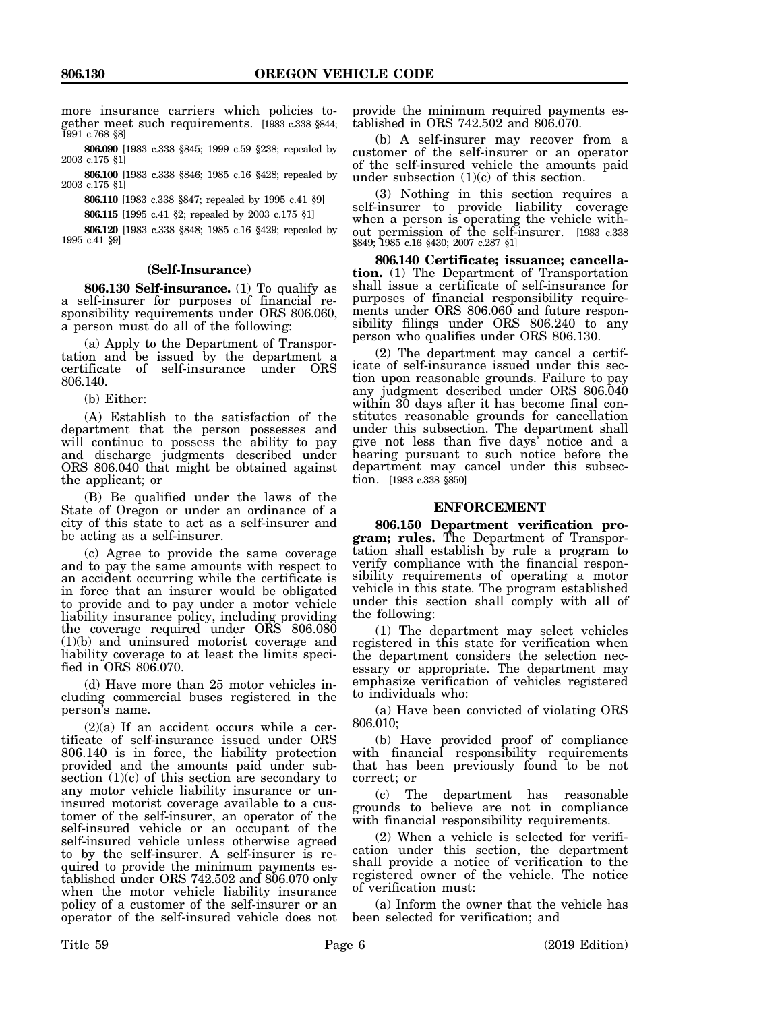more insurance carriers which policies together meet such requirements. [1983 c.338 §844; 1991 c.768 §8]

**806.090** [1983 c.338 §845; 1999 c.59 §238; repealed by 2003 c.175 §1]

**806.100** [1983 c.338 §846; 1985 c.16 §428; repealed by 2003 c.175 §1]

**806.110** [1983 c.338 §847; repealed by 1995 c.41 §9]

**806.115** [1995 c.41 §2; repealed by 2003 c.175 §1]

**806.120** [1983 c.338 §848; 1985 c.16 §429; repealed by 1995 c.41 §9]

#### **(Self-Insurance)**

**806.130 Self-insurance.** (1) To qualify as a self-insurer for purposes of financial responsibility requirements under ORS 806.060, a person must do all of the following:

(a) Apply to the Department of Transportation and be issued by the department a certificate of self-insurance under ORS 806.140.

(b) Either:

(A) Establish to the satisfaction of the department that the person possesses and will continue to possess the ability to pay and discharge judgments described under ORS 806.040 that might be obtained against the applicant; or

(B) Be qualified under the laws of the State of Oregon or under an ordinance of a city of this state to act as a self-insurer and be acting as a self-insurer.

(c) Agree to provide the same coverage and to pay the same amounts with respect to an accident occurring while the certificate is in force that an insurer would be obligated to provide and to pay under a motor vehicle liability insurance policy, including providing the coverage required under ORS 806.080 (1)(b) and uninsured motorist coverage and liability coverage to at least the limits specified in ORS 806.070.

(d) Have more than 25 motor vehicles including commercial buses registered in the person's name.

 $(2)(a)$  If an accident occurs while a certificate of self-insurance issued under ORS 806.140 is in force, the liability protection provided and the amounts paid under subsection  $(1)(c)$  of this section are secondary to any motor vehicle liability insurance or uninsured motorist coverage available to a customer of the self-insurer, an operator of the self-insured vehicle or an occupant of the self-insured vehicle unless otherwise agreed to by the self-insurer. A self-insurer is required to provide the minimum payments established under ORS 742.502 and 806.070 only when the motor vehicle liability insurance policy of a customer of the self-insurer or an operator of the self-insured vehicle does not

provide the minimum required payments established in ORS 742.502 and 806.070.

(b) A self-insurer may recover from a customer of the self-insurer or an operator of the self-insured vehicle the amounts paid under subsection  $(1)(c)$  of this section.

(3) Nothing in this section requires a self-insurer to provide liability coverage when a person is operating the vehicle without permission of the self-insurer. [1983 c.338 §849; 1985 c.16 §430; 2007 c.287 §1]

**806.140 Certificate; issuance; cancellation.** (1) The Department of Transportation shall issue a certificate of self-insurance for purposes of financial responsibility requirements under ORS 806.060 and future responsibility filings under ORS 806.240 to any person who qualifies under ORS 806.130.

(2) The department may cancel a certificate of self-insurance issued under this section upon reasonable grounds. Failure to pay any judgment described under ORS 806.040 within 30 days after it has become final constitutes reasonable grounds for cancellation under this subsection. The department shall give not less than five days' notice and a hearing pursuant to such notice before the department may cancel under this subsection. [1983 c.338 §850]

#### **ENFORCEMENT**

**806.150 Department verification program; rules.** The Department of Transportation shall establish by rule a program to verify compliance with the financial responsibility requirements of operating a motor vehicle in this state. The program established under this section shall comply with all of the following:

(1) The department may select vehicles registered in this state for verification when the department considers the selection necessary or appropriate. The department may emphasize verification of vehicles registered to individuals who:

(a) Have been convicted of violating ORS 806.010;

(b) Have provided proof of compliance with financial responsibility requirements that has been previously found to be not correct; or

(c) The department has reasonable grounds to believe are not in compliance with financial responsibility requirements.

(2) When a vehicle is selected for verification under this section, the department shall provide a notice of verification to the registered owner of the vehicle. The notice of verification must:

(a) Inform the owner that the vehicle has been selected for verification; and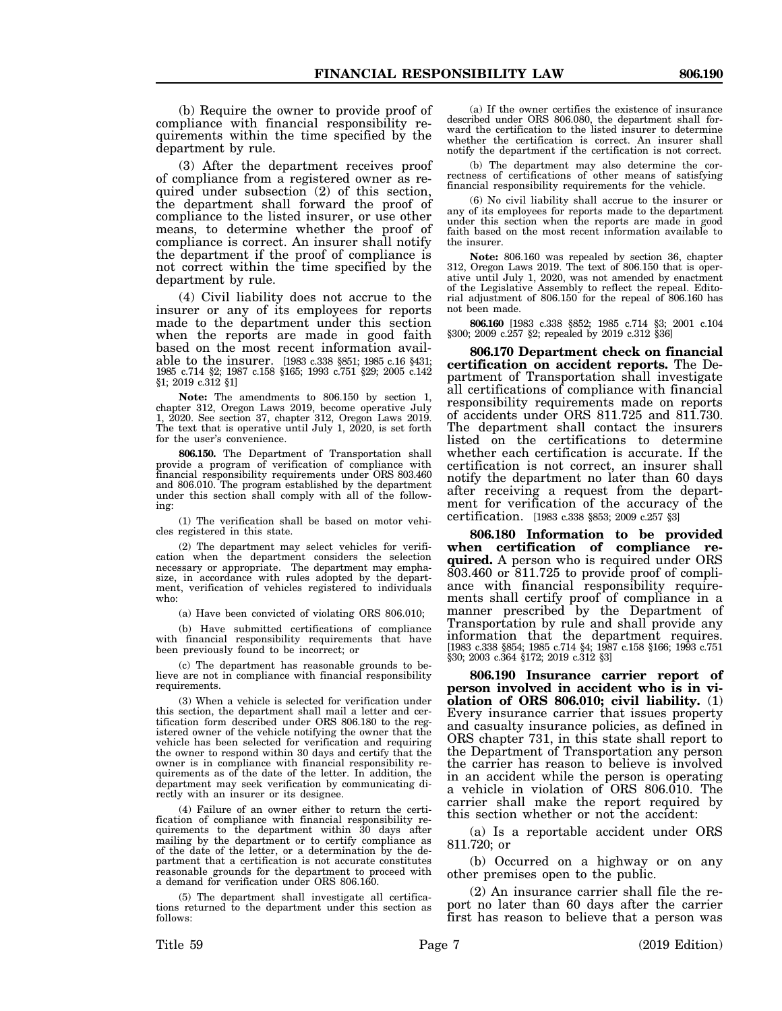(b) Require the owner to provide proof of compliance with financial responsibility requirements within the time specified by the department by rule.

(3) After the department receives proof of compliance from a registered owner as required under subsection (2) of this section, the department shall forward the proof of compliance to the listed insurer, or use other means, to determine whether the proof of compliance is correct. An insurer shall notify the department if the proof of compliance is not correct within the time specified by the department by rule.

(4) Civil liability does not accrue to the insurer or any of its employees for reports made to the department under this section when the reports are made in good faith based on the most recent information available to the insurer. [1983 c.338 §851; 1985 c.16 §431; 1985 c.714 §2; 1987 c.158 §165; 1993 c.751 §29; 2005 c.142 §1; 2019 c.312 §1]

**Note:** The amendments to 806.150 by section 1, chapter 312, Oregon Laws 2019, become operative July 1, 2020. See section 37, chapter 312, Oregon Laws 2019. The text that is operative until July 1, 2020, is set forth for the user's convenience.

**806.150.** The Department of Transportation shall provide a program of verification of compliance with financial responsibility requirements under ORS 803.460 and 806.010. The program established by the department under this section shall comply with all of the following:

(1) The verification shall be based on motor vehicles registered in this state.

(2) The department may select vehicles for verification when the department considers the selection necessary or appropriate. The department may emphasize, in accordance with rules adopted by the department, verification of vehicles registered to individuals who:

(a) Have been convicted of violating ORS 806.010;

(b) Have submitted certifications of compliance with financial responsibility requirements that have been previously found to be incorrect; or

(c) The department has reasonable grounds to believe are not in compliance with financial responsibility requirements.

(3) When a vehicle is selected for verification under this section, the department shall mail a letter and certification form described under ORS 806.180 to the registered owner of the vehicle notifying the owner that the vehicle has been selected for verification and requiring the owner to respond within 30 days and certify that the owner is in compliance with financial responsibility requirements as of the date of the letter. In addition, the department may seek verification by communicating directly with an insurer or its designee.

(4) Failure of an owner either to return the certification of compliance with financial responsibility requirements to the department within 30 days after mailing by the department or to certify compliance as of the date of the letter, or a determination by the department that a certification is not accurate constitutes reasonable grounds for the department to proceed with a demand for verification under ORS 806.160.

(5) The department shall investigate all certifications returned to the department under this section as follows:

(a) If the owner certifies the existence of insurance described under ORS 806.080, the department shall forward the certification to the listed insurer to determine whether the certification is correct. An insurer shall notify the department if the certification is not correct.

(b) The department may also determine the correctness of certifications of other means of satisfying financial responsibility requirements for the vehicle.

(6) No civil liability shall accrue to the insurer or any of its employees for reports made to the department under this section when the reports are made in good faith based on the most recent information available to the insurer.

**Note:** 806.160 was repealed by section 36, chapter 312, Oregon Laws 2019. The text of 806.150 that is operative until July 1, 2020, was not amended by enactment of the Legislative Assembly to reflect the repeal. Editorial adjustment of 806.150 for the repeal of 806.160 has not been made.

**806.160** [1983 c.338 §852; 1985 c.714 §3; 2001 c.104 §300; 2009 c.257 §2; repealed by 2019 c.312 §36]

**806.170 Department check on financial certification on accident reports.** The Department of Transportation shall investigate all certifications of compliance with financial responsibility requirements made on reports of accidents under ORS 811.725 and 811.730. The department shall contact the insurers listed on the certifications to determine whether each certification is accurate. If the certification is not correct, an insurer shall notify the department no later than 60 days after receiving a request from the department for verification of the accuracy of the certification. [1983 c.338 §853; 2009 c.257 §3]

**806.180 Information to be provided when certification of compliance required.** A person who is required under ORS 803.460 or 811.725 to provide proof of compliance with financial responsibility requirements shall certify proof of compliance in a manner prescribed by the Department of Transportation by rule and shall provide any information that the department requires. [1983 c.338 §854; 1985 c.714 §4; 1987 c.158 §166; 1993 c.751 §30; 2003 c.364 §172; 2019 c.312 §3]

**806.190 Insurance carrier report of person involved in accident who is in violation of ORS 806.010; civil liability.** (1) Every insurance carrier that issues property and casualty insurance policies, as defined in ORS chapter 731, in this state shall report to the Department of Transportation any person the carrier has reason to believe is involved in an accident while the person is operating a vehicle in violation of ORS 806.010. The carrier shall make the report required by this section whether or not the accident:

(a) Is a reportable accident under ORS 811.720; or

(b) Occurred on a highway or on any other premises open to the public.

(2) An insurance carrier shall file the report no later than 60 days after the carrier first has reason to believe that a person was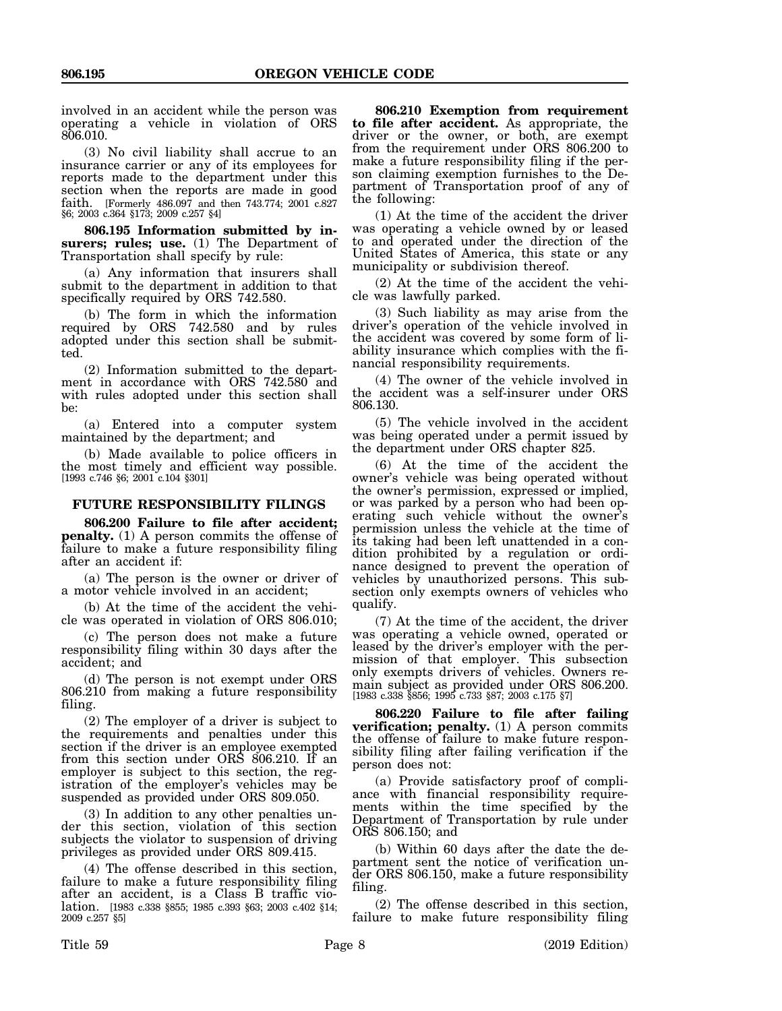involved in an accident while the person was operating a vehicle in violation of ORS 806.010.

(3) No civil liability shall accrue to an insurance carrier or any of its employees for reports made to the department under this section when the reports are made in good faith. [Formerly 486.097 and then 743.774; 2001 c.827 §6; 2003 c.364 §173; 2009 c.257 §4]

**806.195 Information submitted by insurers; rules; use.** (1) The Department of Transportation shall specify by rule:

(a) Any information that insurers shall submit to the department in addition to that specifically required by ORS 742.580.

(b) The form in which the information required by ORS 742.580 and by rules adopted under this section shall be submitted.

(2) Information submitted to the department in accordance with ORS 742.580 and with rules adopted under this section shall be:

(a) Entered into a computer system maintained by the department; and

(b) Made available to police officers in the most timely and efficient way possible. [1993 c.746 §6; 2001 c.104 §301]

#### **FUTURE RESPONSIBILITY FILINGS**

**806.200 Failure to file after accident; penalty.** (1) A person commits the offense of failure to make a future responsibility filing after an accident if:

(a) The person is the owner or driver of a motor vehicle involved in an accident;

(b) At the time of the accident the vehicle was operated in violation of ORS 806.010;

(c) The person does not make a future responsibility filing within 30 days after the accident; and

(d) The person is not exempt under ORS 806.210 from making a future responsibility filing.

(2) The employer of a driver is subject to the requirements and penalties under this section if the driver is an employee exempted from this section under ORS 806.210. If an employer is subject to this section, the registration of the employer's vehicles may be suspended as provided under ORS 809.050.

(3) In addition to any other penalties under this section, violation of this section subjects the violator to suspension of driving privileges as provided under ORS 809.415.

(4) The offense described in this section, failure to make a future responsibility filing after an accident, is a Class B traffic violation. [1983 c.338 §855; 1985 c.393 §63; 2003 c.402 §14; 2009 c.257 §5]

**806.210 Exemption from requirement to file after accident.** As appropriate, the driver or the owner, or both, are exempt from the requirement under ORS 806.200 to make a future responsibility filing if the person claiming exemption furnishes to the Department of Transportation proof of any of the following:

(1) At the time of the accident the driver was operating a vehicle owned by or leased to and operated under the direction of the United States of America, this state or any municipality or subdivision thereof.

(2) At the time of the accident the vehicle was lawfully parked.

(3) Such liability as may arise from the driver's operation of the vehicle involved in the accident was covered by some form of liability insurance which complies with the financial responsibility requirements.

(4) The owner of the vehicle involved in the accident was a self-insurer under ORS 806.130.

(5) The vehicle involved in the accident was being operated under a permit issued by the department under ORS chapter 825.

(6) At the time of the accident the owner's vehicle was being operated without the owner's permission, expressed or implied, or was parked by a person who had been operating such vehicle without the owner's permission unless the vehicle at the time of its taking had been left unattended in a condition prohibited by a regulation or ordinance designed to prevent the operation of vehicles by unauthorized persons. This subsection only exempts owners of vehicles who qualify.

(7) At the time of the accident, the driver was operating a vehicle owned, operated or leased by the driver's employer with the permission of that employer. This subsection only exempts drivers of vehicles. Owners remain subject as provided under ORS 806.200. [1983 c.338 §856; 1995 c.733 §87; 2003 c.175 §7]

**806.220 Failure to file after failing verification; penalty.** (1) A person commits the offense of failure to make future responsibility filing after failing verification if the person does not:

(a) Provide satisfactory proof of compliance with financial responsibility requirements within the time specified by the Department of Transportation by rule under ORS 806.150; and

(b) Within 60 days after the date the department sent the notice of verification under ORS 806.150, make a future responsibility filing.

(2) The offense described in this section, failure to make future responsibility filing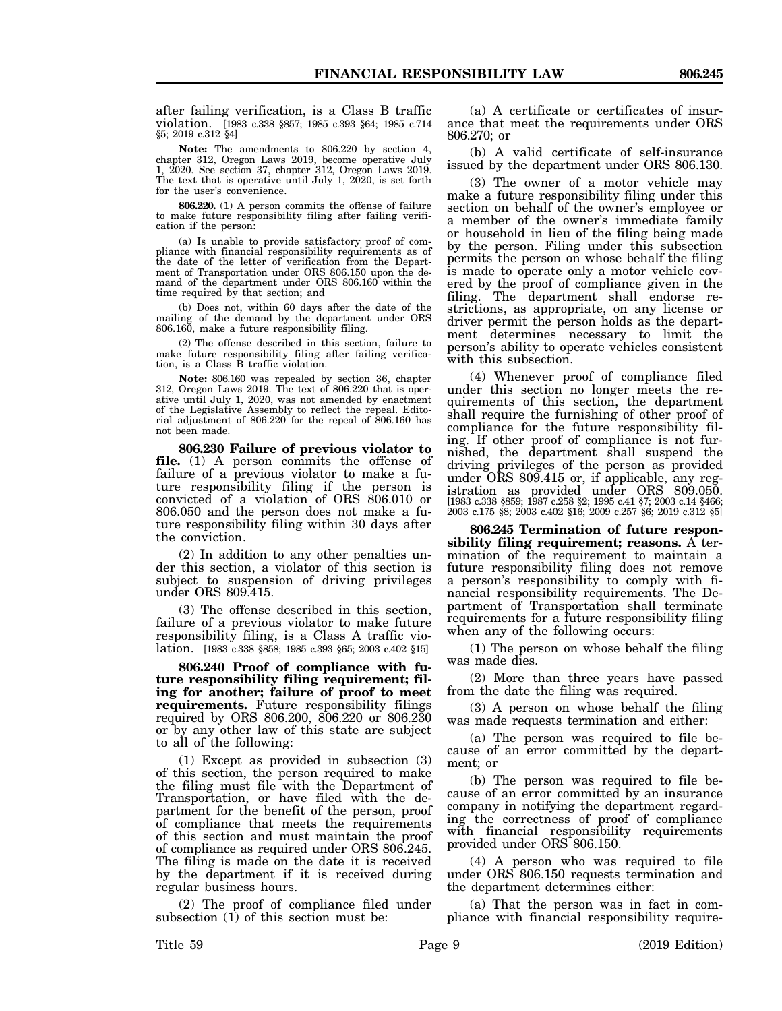after failing verification, is a Class B traffic violation. [1983 c.338 §857; 1985 c.393 §64; 1985 c.714 §5; 2019 c.312 §4]

**Note:** The amendments to 806.220 by section 4, chapter 312, Oregon Laws 2019, become operative July 1, 2020. See section 37, chapter 312, Oregon Laws 2019. The text that is operative until July 1, 2020, is set forth for the user's convenience.

**806.220.** (1) A person commits the offense of failure to make future responsibility filing after failing verification if the person:

(a) Is unable to provide satisfactory proof of compliance with financial responsibility requirements as of the date of the letter of verification from the Department of Transportation under ORS 806.150 upon the demand of the department under ORS 806.160 within the time required by that section; and

(b) Does not, within 60 days after the date of the mailing of the demand by the department under ORS 806.160, make a future responsibility filing.

(2) The offense described in this section, failure to make future responsibility filing after failing verification, is a Class B traffic violation.

**Note:** 806.160 was repealed by section 36, chapter 312, Oregon Laws 2019. The text of 806.220 that is operative until July 1, 2020, was not amended by enactment of the Legislative Assembly to reflect the repeal. Editorial adjustment of 806.220 for the repeal of 806.160 has not been made.

**806.230 Failure of previous violator to file.** (1) A person commits the offense of failure of a previous violator to make a future responsibility filing if the person is convicted of a violation of ORS 806.010 or 806.050 and the person does not make a future responsibility filing within 30 days after the conviction.

(2) In addition to any other penalties under this section, a violator of this section is subject to suspension of driving privileges under ORS 809.415.

(3) The offense described in this section, failure of a previous violator to make future responsibility filing, is a Class A traffic violation. [1983 c.338 §858; 1985 c.393 §65; 2003 c.402 §15]

**806.240 Proof of compliance with future responsibility filing requirement; filing for another; failure of proof to meet requirements.** Future responsibility filings required by ORS 806.200, 806.220 or 806.230 or by any other law of this state are subject to all of the following:

(1) Except as provided in subsection (3) of this section, the person required to make the filing must file with the Department of Transportation, or have filed with the department for the benefit of the person, proof of compliance that meets the requirements of this section and must maintain the proof of compliance as required under ORS 806.245. The filing is made on the date it is received by the department if it is received during regular business hours.

(2) The proof of compliance filed under subsection (1) of this section must be:

(a) A certificate or certificates of insurance that meet the requirements under ORS 806.270; or

(b) A valid certificate of self-insurance issued by the department under ORS 806.130.

(3) The owner of a motor vehicle may make a future responsibility filing under this section on behalf of the owner's employee or a member of the owner's immediate family or household in lieu of the filing being made by the person. Filing under this subsection permits the person on whose behalf the filing is made to operate only a motor vehicle covered by the proof of compliance given in the filing. The department shall endorse restrictions, as appropriate, on any license or driver permit the person holds as the department determines necessary to limit the person's ability to operate vehicles consistent with this subsection.

(4) Whenever proof of compliance filed under this section no longer meets the requirements of this section, the department shall require the furnishing of other proof of compliance for the future responsibility filing. If other proof of compliance is not furnished, the department shall suspend the driving privileges of the person as provided under ORS 809.415 or, if applicable, any registration as provided under ORS 809.050. [1983 c.338 §859; 1987 c.258 §2; 1995 c.41 §7; 2003 c.14 §466; 2003 c.175 §8; 2003 c.402 §16; 2009 c.257 §6; 2019 c.312 §5]

**806.245 Termination of future responsibility filing requirement; reasons.** A termination of the requirement to maintain a future responsibility filing does not remove a person's responsibility to comply with financial responsibility requirements. The Department of Transportation shall terminate requirements for a future responsibility filing when any of the following occurs:

(1) The person on whose behalf the filing was made dies.

(2) More than three years have passed from the date the filing was required.

(3) A person on whose behalf the filing was made requests termination and either:

(a) The person was required to file because of an error committed by the department; or

(b) The person was required to file because of an error committed by an insurance company in notifying the department regarding the correctness of proof of compliance with financial responsibility requirements provided under ORS 806.150.

(4) A person who was required to file under ORS 806.150 requests termination and the department determines either:

(a) That the person was in fact in compliance with financial responsibility require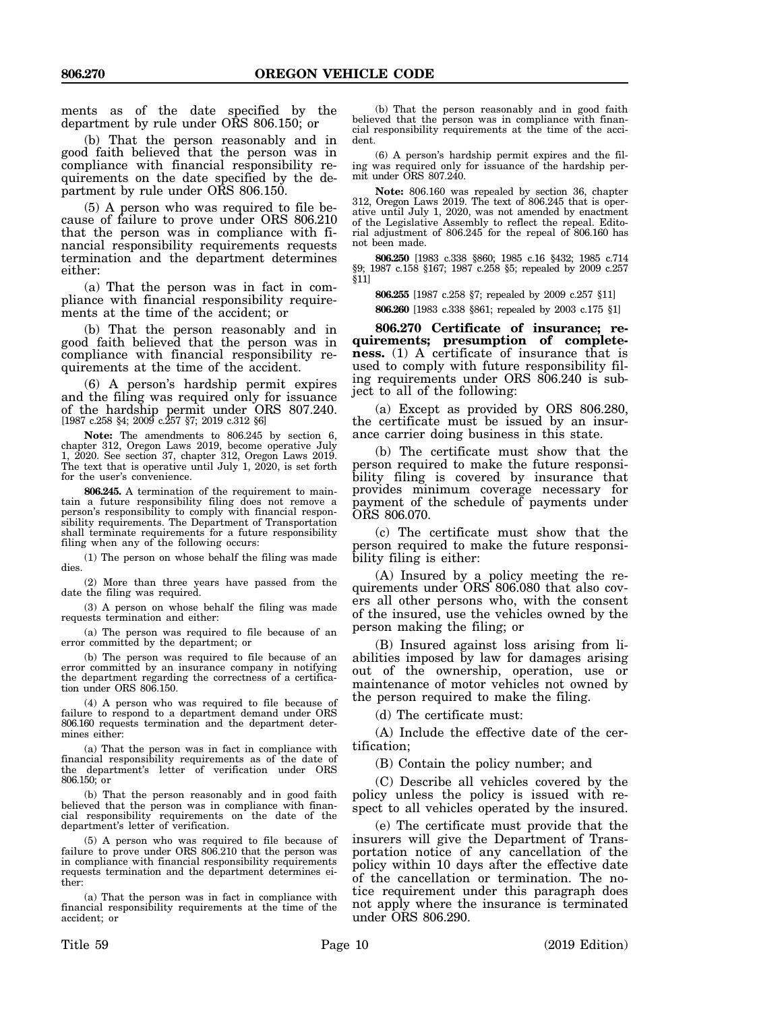ments as of the date specified by the department by rule under ORS 806.150; or

(b) That the person reasonably and in good faith believed that the person was in compliance with financial responsibility requirements on the date specified by the department by rule under ORS 806.150.

(5) A person who was required to file because of failure to prove under ORS 806.210 that the person was in compliance with financial responsibility requirements requests termination and the department determines either:

(a) That the person was in fact in compliance with financial responsibility requirements at the time of the accident; or

(b) That the person reasonably and in good faith believed that the person was in compliance with financial responsibility requirements at the time of the accident.

(6) A person's hardship permit expires and the filing was required only for issuance of the hardship permit under ORS 807.240. [1987 c.258 §4; 2009 c.257 §7; 2019 c.312 §6]

**Note:** The amendments to 806.245 by section 6, chapter 312, Oregon Laws 2019, become operative July 1, 2020. See section 37, chapter 312, Oregon Laws 2019. The text that is operative until July 1, 2020, is set forth for the user's convenience.

**806.245.** A termination of the requirement to maintain a future responsibility filing does not remove a person's responsibility to comply with financial responsibility requirements. The Department of Transportation shall terminate requirements for a future responsibility filing when any of the following occurs:

(1) The person on whose behalf the filing was made dies.

(2) More than three years have passed from the date the filing was required.

(3) A person on whose behalf the filing was made requests termination and either:

(a) The person was required to file because of an error committed by the department; or

(b) The person was required to file because of an error committed by an insurance company in notifying the department regarding the correctness of a certification under ORS 806.150.

(4) A person who was required to file because of failure to respond to a department demand under ORS 806.160 requests termination and the department determines either:

(a) That the person was in fact in compliance with financial responsibility requirements as of the date of the department's letter of verification under ORS 806.150; or

(b) That the person reasonably and in good faith believed that the person was in compliance with financial responsibility requirements on the date of the department's letter of verification.

(5) A person who was required to file because of failure to prove under ORS 806.210 that the person was in compliance with financial responsibility requirements requests termination and the department determines either:

(a) That the person was in fact in compliance with financial responsibility requirements at the time of the accident; or

(6) A person's hardship permit expires and the filing was required only for issuance of the hardship permit under ORS 807.240.

**Note:** 806.160 was repealed by section 36, chapter 312, Oregon Laws 2019. The text of 806.245 that is operative until July 1, 2020, was not amended by enactment of the Legislative Assembly to reflect the repeal. Editorial adjustment of 806.245 for the repeal of 806.160 has not been made.

**806.250** [1983 c.338 §860; 1985 c.16 §432; 1985 c.714 §9; 1987 c.158 §167; 1987 c.258 §5; repealed by 2009 c.257  $§11]$ 

**806.255** [1987 c.258 §7; repealed by 2009 c.257 §11]

**806.260** [1983 c.338 §861; repealed by 2003 c.175 §1]

**806.270 Certificate of insurance; requirements; presumption of completeness.** (1) A certificate of insurance that is used to comply with future responsibility filing requirements under ORS 806.240 is subject to all of the following:

(a) Except as provided by ORS 806.280, the certificate must be issued by an insurance carrier doing business in this state.

(b) The certificate must show that the person required to make the future responsibility filing is covered by insurance that provides minimum coverage necessary for payment of the schedule of payments under ORS 806.070.

(c) The certificate must show that the person required to make the future responsibility filing is either:

(A) Insured by a policy meeting the requirements under ORS 806.080 that also covers all other persons who, with the consent of the insured, use the vehicles owned by the person making the filing; or

(B) Insured against loss arising from liabilities imposed by law for damages arising out of the ownership, operation, use or maintenance of motor vehicles not owned by the person required to make the filing.

(d) The certificate must:

(A) Include the effective date of the certification;

(B) Contain the policy number; and

(C) Describe all vehicles covered by the policy unless the policy is issued with respect to all vehicles operated by the insured.

(e) The certificate must provide that the insurers will give the Department of Transportation notice of any cancellation of the policy within 10 days after the effective date of the cancellation or termination. The notice requirement under this paragraph does not apply where the insurance is terminated under ORS 806.290.